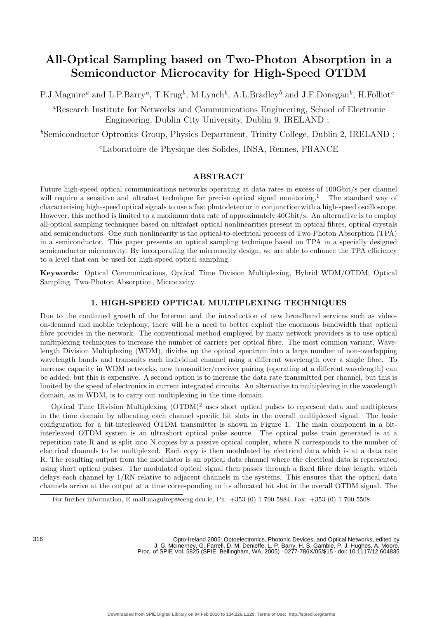# **All-Optical Sampling based on Two-Photon Absorption in a Semiconductor Microcavity for High-Speed OTDM**

P.J.Maguire*<sup>a</sup>* and L.P.Barry*a*, T.Krug*b*, M.Lynch*b*, A.L.Bradley*<sup>b</sup>* and J.F.Donegan*b*, H.Folliot*<sup>c</sup>*

*<sup>a</sup>*Research Institute for Networks and Communications Engineering, School of Electronic Engineering, Dublin City University, Dublin 9, IRELAND ;

<sup>*b*</sup>Semiconductor Optronics Group, Physics Department, Trinity College, Dublin 2, IRELAND ;

*<sup>c</sup>*Laboratoire de Physique des Solides, INSA, Rennes, FRANCE

# **ABSTRACT**

Future high-speed optical communications networks operating at data rates in excess of 100Gbit/s per channel will require a sensitive and ultrafast technique for precise optical signal monitoring.<sup>1</sup> The standard way of characterising high-speed optical signals to use a fast photodetector in conjunction with a high-speed oscilloscope. However, this method is limited to a maximum data rate of approximately 40Gbit/s. An alternative is to employ all-optical sampling techniques based on ultrafast optical nonlinearities present in optical fibres, optical crystals and semiconductors. One such nonlinearity is the optical-to-electrical process of Two-Photon Absorption (TPA) in a semiconductor. This paper presents an optical sampling technique based on TPA in a specially designed semiconductor microcavity. By incorporating the microcavity design, we are able to enhance the TPA efficiency to a level that can be used for high-speed optical sampling.

**Keywords:** Optical Communications, Optical Time Division Multiplexing, Hybrid WDM/OTDM, Optical Sampling, Two-Photon Absorption, Microcavity

## **1. HIGH-SPEED OPTICAL MULTIPLEXING TECHNIQUES**

Due to the continued growth of the Internet and the introduction of new broadband services such as videoon-demand and mobile telephony, there will be a need to better exploit the enormous bandwidth that optical fibre provides in the network. The conventional method employed by many network providers is to use optical multiplexing techniques to increase the number of carriers per optical fibre. The most common variant, Wavelength Division Multiplexing (WDM), divides up the optical spectrum into a large number of non-overlapping wavelength bands and transmits each individual channel using a different wavelength over a single fibre. To increase capacity in WDM networks, new transmitter/receiver pairing (operating at a different wavelength) can be added, but this is expensive. A second option is to increase the data rate transmitted per channel, but this is limited by the speed of electronics in current integrated circuits. An alternative to multiplexing in the wavelength domain, as in WDM, is to carry out multiplexing in the time domain.

Optical Time Division Multiplexing (OTDM)<sup>2</sup> uses short optical pulses to represent data and multiplexes in the time domain by allocating each channel specific bit slots in the overall multiplexed signal. The basic configuration for a bit-interleaved OTDM transmitter is shown in Figure 1. The main component in a bitinterleaved OTDM system is an ultrashort optical pulse source. The optical pulse train generated is at a repetition rate R and is split into N copies by a passive optical coupler, where N corresponds to the number of electrical channels to be multiplexed. Each copy is then modulated by electrical data which is at a data rate R. The resulting output from the modulator is an optical data channel where the electrical data is represented using short optical pulses. The modulated optical signal then passes through a fixed fibre delay length, which delays each channel by 1/RN relative to adjacent channels in the systems. This ensures that the optical data channels arrive at the output at a time corresponding to its allocated bit slot in the overall OTDM signal. The

Opto-Ireland 2005: Optoelectronics, Photonic Devices, and Optical Networks, edited by J. G. McInerney, G. Farrell, D. M. Denieffe, L. P. Barry, H. S. Gamble, P. J. Hughes, A. Moore, Proc. of SPIE Vol. 5825 (SPIE, Bellingham, WA, 2005) · 0277-786X/05/\$15 · doi: 10.1117/12.604835

For further information, E-mail:maguirep@eeng.dcu.ie, Ph: +353 (0) 1 700 5884, Fax: +353 (0) 1 700 5508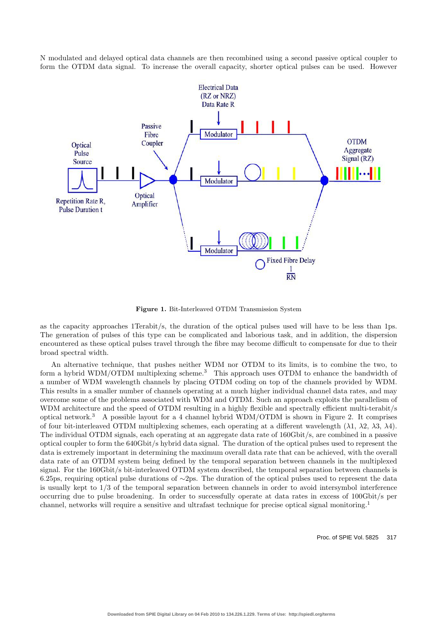N modulated and delayed optical data channels are then recombined using a second passive optical coupler to form the OTDM data signal. To increase the overall capacity, shorter optical pulses can be used. However



**Figure 1.** Bit-Interleaved OTDM Transmission System

as the capacity approaches 1Terabit/s, the duration of the optical pulses used will have to be less than 1ps. The generation of pulses of this type can be complicated and laborious task, and in addition, the dispersion encountered as these optical pulses travel through the fibre may become difficult to compensate for due to their broad spectral width.

An alternative technique, that pushes neither WDM nor OTDM to its limits, is to combine the two, to form a hybrid WDM/OTDM multiplexing scheme.<sup>3</sup> This approach uses OTDM to enhance the bandwidth of a number of WDM wavelength channels by placing OTDM coding on top of the channels provided by WDM. This results in a smaller number of channels operating at a much higher individual channel data rates, and may overcome some of the problems associated with WDM and OTDM. Such an approach exploits the parallelism of WDM architecture and the speed of OTDM resulting in a highly flexible and spectrally efficient multi-terabit/s optical network.<sup>3</sup> A possible layout for a 4 channel hybrid WDM/OTDM is shown in Figure 2. It comprises of four bit-interleaved OTDM multiplexing schemes, each operating at a different wavelength  $(\lambda_1, \lambda_2, \lambda_3, \lambda_4)$ . The individual OTDM signals, each operating at an aggregate data rate of 160Gbit/s, are combined in a passive optical coupler to form the 640Gbit/s hybrid data signal. The duration of the optical pulses used to represent the data is extremely important in determining the maximum overall data rate that can be achieved, with the overall data rate of an OTDM system being defined by the temporal separation between channels in the multiplexed signal. For the 160Gbit/s bit-interleaved OTDM system described, the temporal separation between channels is 6.25ps, requiring optical pulse durations of ∼2ps. The duration of the optical pulses used to represent the data is usually kept to 1/3 of the temporal separation between channels in order to avoid intersymbol interference occurring due to pulse broadening. In order to successfully operate at data rates in excess of 100Gbit/s per channel, networks will require a sensitive and ultrafast technique for precise optical signal monitoring.<sup>1</sup>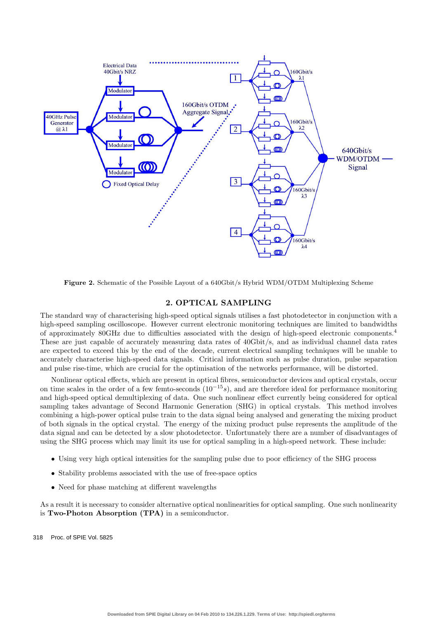

**Figure 2.** Schematic of the Possible Layout of a 640Gbit/s Hybrid WDM/OTDM Multiplexing Scheme

## **2. OPTICAL SAMPLING**

The standard way of characterising high-speed optical signals utilises a fast photodetector in conjunction with a high-speed sampling oscilloscope. However current electronic monitoring techniques are limited to bandwidths of approximately 80GHz due to difficulties associated with the design of high-speed electronic components.<sup>4</sup> These are just capable of accurately measuring data rates of 40Gbit/s, and as individual channel data rates are expected to exceed this by the end of the decade, current electrical sampling techniques will be unable to accurately characterise high-speed data signals. Critical information such as pulse duration, pulse separation and pulse rise-time, which are crucial for the optimisation of the networks performance, will be distorted.

Nonlinear optical effects, which are present in optical fibres, semiconductor devices and optical crystals, occur on time scales in the order of a few femto-seconds  $(10^{-15}s)$ , and are therefore ideal for performance monitoring and high-speed optical demultiplexing of data. One such nonlinear effect currently being considered for optical sampling takes advantage of Second Harmonic Generation (SHG) in optical crystals. This method involves combining a high-power optical pulse train to the data signal being analysed and generating the mixing product of both signals in the optical crystal. The energy of the mixing product pulse represents the amplitude of the data signal and can be detected by a slow photodetector. Unfortunately there are a number of disadvantages of using the SHG process which may limit its use for optical sampling in a high-speed network. These include:

- Using very high optical intensities for the sampling pulse due to poor efficiency of the SHG process
- Stability problems associated with the use of free-space optics
- Need for phase matching at different wavelengths

As a result it is necessary to consider alternative optical nonlinearities for optical sampling. One such nonlinearity is **Two-Photon Absorption (TPA)** in a semiconductor.

318 Proc. of SPIE Vol. 5825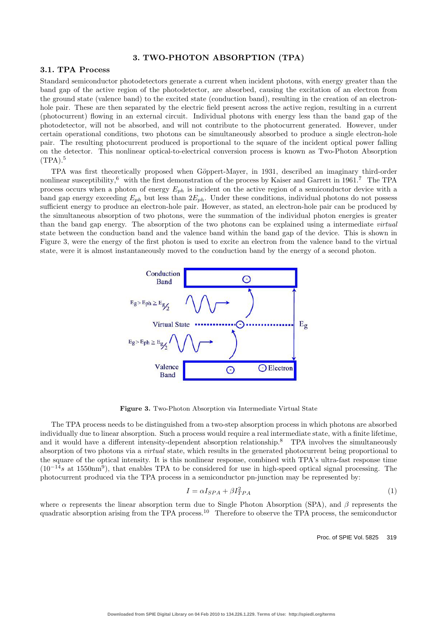## **3. TWO-PHOTON ABSORPTION (TPA)**

# **3.1. TPA Process**

Standard semiconductor photodetectors generate a current when incident photons, with energy greater than the band gap of the active region of the photodetector, are absorbed, causing the excitation of an electron from the ground state (valence band) to the excited state (conduction band), resulting in the creation of an electronhole pair. These are then separated by the electric field present across the active region, resulting in a current (photocurrent) flowing in an external circuit. Individual photons with energy less than the band gap of the photodetector, will not be absorbed, and will not contribute to the photocurrent generated. However, under certain operational conditions, two photons can be simultaneously absorbed to produce a single electron-hole pair. The resulting photocurrent produced is proportional to the square of the incident optical power falling on the detector. This nonlinear optical-to-electrical conversion process is known as Two-Photon Absorption  $(TPA).<sup>5</sup>$ 

TPA was first theoretically proposed when Göppert-Mayer, in 1931, described an imaginary third-order nonlinear susceptibility, $6\text{ with the first demonstration of the process by Kaiser and Garrett in }1961.7\text{ The TPA}$ process occurs when a photon of energy <sup>E</sup>*ph* is incident on the active region of a semiconductor device with a band gap energy exceeding <sup>E</sup>*ph* but less than 2E*ph*. Under these conditions, individual photons do not possess sufficient energy to produce an electron-hole pair. However, as stated, an electron-hole pair can be produced by the simultaneous absorption of two photons, were the summation of the individual photon energies is greater than the band gap energy. The absorption of the two photons can be explained using a intermediate *virtual* state between the conduction band and the valence band within the band gap of the device. This is shown in Figure 3, were the energy of the first photon is used to excite an electron from the valence band to the virtual state, were it is almost instantaneously moved to the conduction band by the energy of a second photon.



**Figure 3.** Two-Photon Absorption via Intermediate Virtual State

The TPA process needs to be distinguished from a two-step absorption process in which photons are absorbed individually due to linear absorption. Such a process would require a real intermediate state, with a finite lifetime, and it would have a different intensity-dependent absorption relationship.<sup>8</sup> TPA involves the simultaneously absorption of two photons via a *virtual* state, which results in the generated photocurrent being proportional to the square of the optical intensity. It is this nonlinear response, combined with TPA's ultra-fast response time  $(10^{-14}s$  at 1550nm<sup>9</sup>), that enables TPA to be considered for use in high-speed optical signal processing. The photocurrent produced via the TPA process in a semiconductor pn-junction may be represented by:

$$
I = \alpha I_{SPA} + \beta I_{TPA}^2 \tag{1}
$$

where  $\alpha$  represents the linear absorption term due to Single Photon Absorption (SPA), and  $\beta$  represents the quadratic absorption arising from the TPA process.<sup>10</sup> Therefore to observe the TPA process, the semiconductor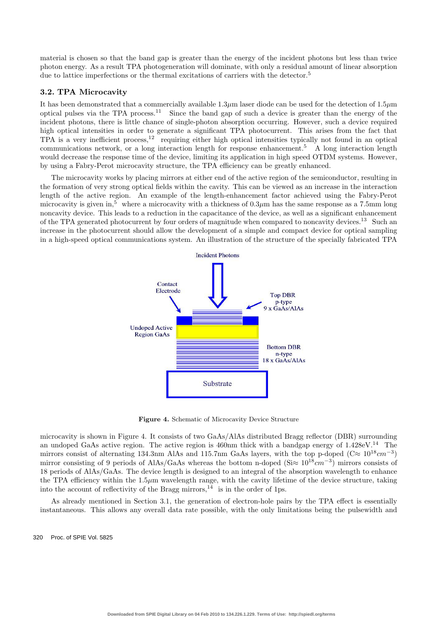material is chosen so that the band gap is greater than the energy of the incident photons but less than twice photon energy. As a result TPA photogeneration will dominate, with only a residual amount of linear absorption due to lattice imperfections or the thermal excitations of carriers with the detector.<sup>5</sup>

## **3.2. TPA Microcavity**

It has been demonstrated that a commercially available  $1.3\mu$ m laser diode can be used for the detection of  $1.5\mu$ m optical pulses via the TPA process.<sup>11</sup> Since the band gap of such a device is greater than the energy of the incident photons, there is little chance of single-photon absorption occurring. However, such a device required high optical intensities in order to generate a significant TPA photocurrent. This arises from the fact that TPA is a very inefficient process,<sup>12</sup> requiring either high optical intensities typically not found in an optical communications network, or a long interaction length for response enhancement.<sup>5</sup> A long interaction length would decrease the response time of the device, limiting its application in high speed OTDM systems. However, by using a Fabry-Perot microcavity structure, the TPA efficiency can be greatly enhanced.

The microcavity works by placing mirrors at either end of the active region of the semiconductor, resulting in the formation of very strong optical fields within the cavity. This can be viewed as an increase in the interaction length of the active region. An example of the length-enhancement factor achieved using the Fabry-Perot microcavity is given in,<sup>5</sup> where a microcavity with a thickness of  $0.3\mu$ m has the same response as a 7.5mm long noncavity device. This leads to a reduction in the capacitance of the device, as well as a significant enhancement of the TPA generated photocurrent by four orders of magnitude when compared to noncavity devices.<sup>13</sup> Such an increase in the photocurrent should allow the development of a simple and compact device for optical sampling in a high-speed optical communications system. An illustration of the structure of the specially fabricated TPA



**Figure 4.** Schematic of Microcavity Device Structure

microcavity is shown in Figure 4. It consists of two GaAs/AlAs distributed Bragg reflector (DBR) surrounding an undoped GaAs active region. The active region is 460nm thick with a bandgap energy of  $1.428 \text{eV}^{14}$  The mirrors consist of alternating 134.3nm AlAs and 115.7nm GaAs layers, with the top p-doped ( $C \approx 10^{18} cm^{-3}$ ) mirror consisting of 9 periods of AlAs/GaAs whereas the bottom n-doped (Si $\approx 10^{18}cm^{-3}$ ) mirrors consists of 18 periods of AlAs/GaAs. The device length is designed to an integral of the absorption wavelength to enhance the TPA efficiency within the  $1.5\mu$ m wavelength range, with the cavity lifetime of the device structure, taking into the account of reflectivity of the Bragg mirrors,  $^{14}$  is in the order of 1ps.

As already mentioned in Section 3.1, the generation of electron-hole pairs by the TPA effect is essentially instantaneous. This allows any overall data rate possible, with the only limitations being the pulsewidth and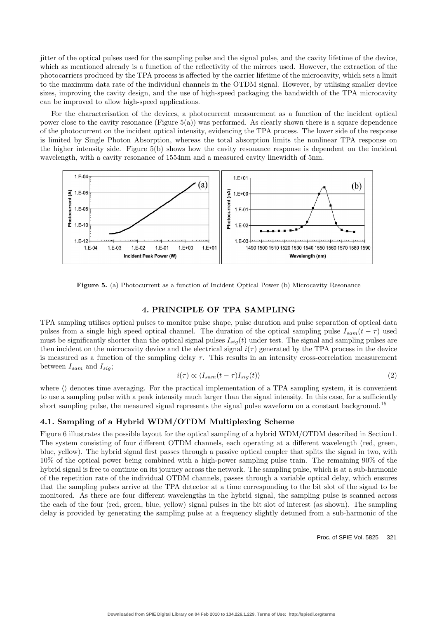jitter of the optical pulses used for the sampling pulse and the signal pulse, and the cavity lifetime of the device, which as mentioned already is a function of the reflectivity of the mirrors used. However, the extraction of the photocarriers produced by the TPA process is affected by the carrier lifetime of the microcavity, which sets a limit to the maximum data rate of the individual channels in the OTDM signal. However, by utilising smaller device sizes, improving the cavity design, and the use of high-speed packaging the bandwidth of the TPA microcavity can be improved to allow high-speed applications.

For the characterisation of the devices, a photocurrent measurement as a function of the incident optical power close to the cavity resonance (Figure 5(a)) was performed. As clearly shown there is a square dependence of the photocurrent on the incident optical intensity, evidencing the TPA process. The lower side of the response is limited by Single Photon Absorption, whereas the total absorption limits the nonlinear TPA response on the higher intensity side. Figure 5(b) shows how the cavity resonance response is dependent on the incident wavelength, with a cavity resonance of 1554nm and a measured cavity linewidth of 5nm.



Figure 5. (a) Photocurrent as a function of Incident Optical Power (b) Microcavity Resonance

## **4. PRINCIPLE OF TPA SAMPLING**

TPA sampling utilises optical pulses to monitor pulse shape, pulse duration and pulse separation of optical data pulses from a single high speed optical channel. The duration of the optical sampling pulse  $I_{sam}(t - \tau)$  used must be significantly shorter than the optical signal pulses  $I_{sig}(t)$  under test. The signal and sampling pulses are then incident on the microcavity device and the electrical signal  $i(\tau)$  generated by the TPA process in the device is measured as a function of the sampling delay  $\tau$ . This results in an intensity cross-correlation measurement between <sup>I</sup>*sam* and <sup>I</sup>*sig*;

$$
i(\tau) \propto \langle I_{sam}(t-\tau)I_{sig}(t) \rangle \tag{2}
$$

where  $\langle \rangle$  denotes time averaging. For the practical implementation of a TPA sampling system, it is convenient to use a sampling pulse with a peak intensity much larger than the signal intensity. In this case, for a sufficiently short sampling pulse, the measured signal represents the signal pulse waveform on a constant background.<sup>15</sup>

# **4.1. Sampling of a Hybrid WDM/OTDM Multiplexing Scheme**

Figure 6 illustrates the possible layout for the optical sampling of a hybrid WDM/OTDM described in Section1. The system consisting of four different OTDM channels, each operating at a different wavelength (red, green, blue, yellow). The hybrid signal first passes through a passive optical coupler that splits the signal in two, with 10% of the optical power being combined with a high-power sampling pulse train. The remaining 90% of the hybrid signal is free to continue on its journey across the network. The sampling pulse, which is at a sub-harmonic of the repetition rate of the individual OTDM channels, passes through a variable optical delay, which ensures that the sampling pulses arrive at the TPA detector at a time corresponding to the bit slot of the signal to be monitored. As there are four different wavelengths in the hybrid signal, the sampling pulse is scanned across the each of the four (red, green, blue, yellow) signal pulses in the bit slot of interest (as shown). The sampling delay is provided by generating the sampling pulse at a frequency slightly detuned from a sub-harmonic of the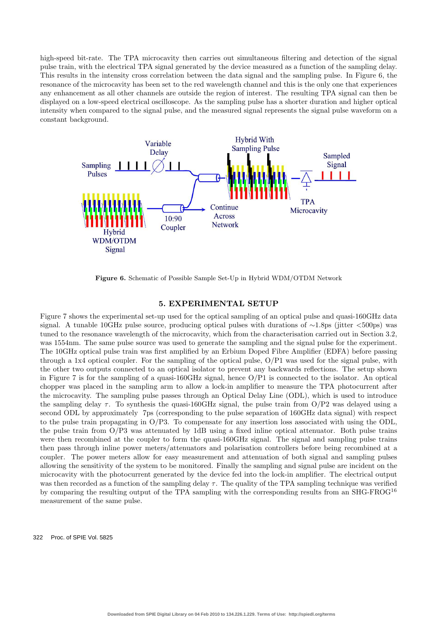high-speed bit-rate. The TPA microcavity then carries out simultaneous filtering and detection of the signal pulse train, with the electrical TPA signal generated by the device measured as a function of the sampling delay. This results in the intensity cross correlation between the data signal and the sampling pulse. In Figure 6, the resonance of the microcavity has been set to the red wavelength channel and this is the only one that experiences any enhancement as all other channels are outside the region of interest. The resulting TPA signal can then be displayed on a low-speed electrical oscilloscope. As the sampling pulse has a shorter duration and higher optical intensity when compared to the signal pulse, and the measured signal represents the signal pulse waveform on a constant background.



**Figure 6.** Schematic of Possible Sample Set-Up in Hybrid WDM/OTDM Network

#### **5. EXPERIMENTAL SETUP**

Figure 7 shows the experimental set-up used for the optical sampling of an optical pulse and quasi-160GHz data signal. A tunable 10GHz pulse source, producing optical pulses with durations of ∼1.8ps (jitter <500ps) was tuned to the resonance wavelength of the microcavity, which from the characterisation carried out in Section 3.2, was 1554nm. The same pulse source was used to generate the sampling and the signal pulse for the experiment. The 10GHz optical pulse train was first amplified by an Erbium Doped Fibre Amplifier (EDFA) before passing through a 1x4 optical coupler. For the sampling of the optical pulse, O/P1 was used for the signal pulse, with the other two outputs connected to an optical isolator to prevent any backwards reflections. The setup shown in Figure 7 is for the sampling of a quasi-160GHz signal, hence O/P1 is connected to the isolator. An optical chopper was placed in the sampling arm to allow a lock-in amplifier to measure the TPA photocurrent after the microcavity. The sampling pulse passes through an Optical Delay Line (ODL), which is used to introduce the sampling delay  $\tau$ . To synthesis the quasi-160GHz signal, the pulse train from O/P2 was delayed using a second ODL by approximately 7ps (corresponding to the pulse separation of 160GHz data signal) with respect to the pulse train propagating in O/P3. To compensate for any insertion loss associated with using the ODL, the pulse train from O/P3 was attenuated by 1dB using a fixed inline optical attenuator. Both pulse trains were then recombined at the coupler to form the quasi-160GHz signal. The signal and sampling pulse trains then pass through inline power meters/attenuators and polarisation controllers before being recombined at a coupler. The power meters allow for easy measurement and attenuation of both signal and sampling pulses allowing the sensitivity of the system to be monitored. Finally the sampling and signal pulse are incident on the microcavity with the photocurrent generated by the device fed into the lock-in amplifier. The electrical output was then recorded as a function of the sampling delay  $\tau$ . The quality of the TPA sampling technique was verified by comparing the resulting output of the TPA sampling with the corresponding results from an SHG-FROG<sup>16</sup> measurement of the same pulse.

322 Proc. of SPIE Vol. 5825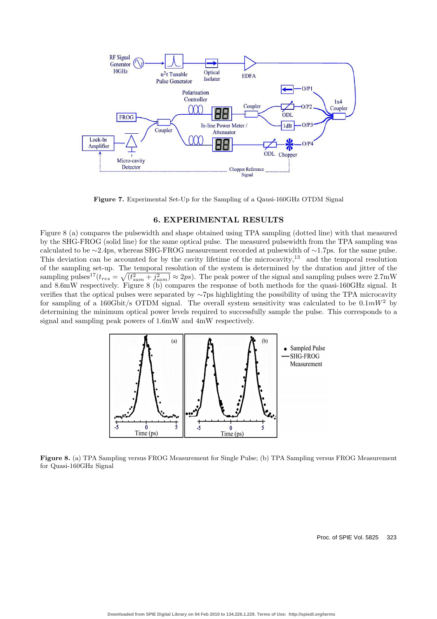

**Figure 7.** Experimental Set-Up for the Sampling of a Qausi-160GHz OTDM Signal

### **6. EXPERIMENTAL RESULTS**

Figure 8 (a) compares the pulsewidth and shape obtained using TPA sampling (dotted line) with that measured by the SHG-FROG (solid line) for the same optical pulse. The measured pulsewidth from the TPA sampling was calculated to be ∼2.4ps, whereas SHG-FROG measurement recorded at pulsewidth of ∼1.7ps. for the same pulse. This deviation can be accounted for by the cavity lifetime of the microcavity,<sup>13</sup> and the temporal resolution of the sampling set-up. The temporal resolution of the system is determined by the duration and jitter of the sampling pulses<sup>17</sup>( $t_{res} = \sqrt{(t_{sam}^2 + j_{sam}^2)} \approx 2ps$ ). The peak power of the signal and sampling pulses were 2.7mW<br>and 8.6mW respectively. Figure 8.(b) compares the response of both methods for the quasi 160CHz signal. It and 8.6mW respectively. Figure 8 (b) compares the response of both methods for the quasi-160GHz signal. It verifies that the optical pulses were separated by ∼7ps highlighting the possibility of using the TPA microcavity for sampling of a 160Gbit/s OTDM signal. The overall system sensitivity was calculated to be  $0.1mW^2$  by determining the minimum optical power levels required to successfully sample the pulse. This corresponds to a signal and sampling peak powers of 1.6mW and 4mW respectively.



**Figure 8.** (a) TPA Sampling versus FROG Measurement for Single Pulse; (b) TPA Sampling versus FROG Measurement for Quasi-160GHz Signal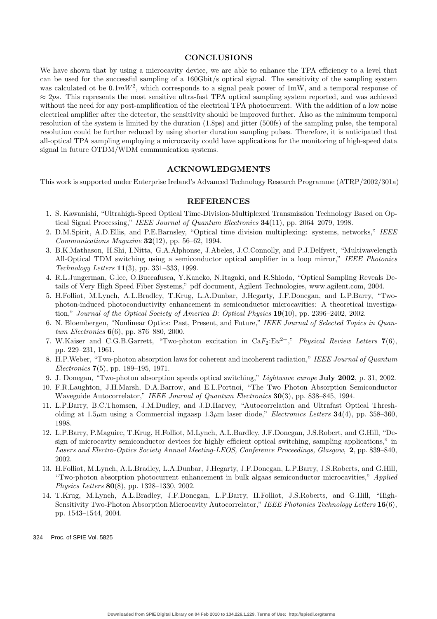#### **CONCLUSIONS**

We have shown that by using a microcavity device, we are able to enhance the TPA efficiency to a level that can be used for the successful sampling of a 160Gbit/s optical signal. The sensitivity of the sampling system was calculated ot be  $0.1mW^2$ , which corresponds to a signal peak power of 1mW, and a temporal response of  $\approx 2ps$ . This represents the most sensitive ultra-fast TPA optical sampling system reported, and was achieved without the need for any post-amplification of the electrical TPA photocurrent. With the addition of a low noise electrical amplifier after the detector, the sensitivity should be improved further. Also as the minimum temporal resolution of the system is limited by the duration (1.8ps) and jitter (500fs) of the sampling pulse, the temporal resolution could be further reduced by using shorter duration sampling pulses. Therefore, it is anticipated that all-optical TPA sampling employing a microcavity could have applications for the monitoring of high-speed data signal in future OTDM/WDM communication systems.

## **ACKNOWLEDGMENTS**

This work is supported under Enterprise Ireland's Advanced Technology Research Programme (ATRP/2002/301a)

#### **REFERENCES**

- 1. S. Kawanishi, "Ultrahigh-Speed Optical Time-Division-Multiplexed Transmission Technology Based on Optical Signal Processing," *IEEE Journal of Quantum Electronics* **34**(11), pp. 2064–2079, 1998.
- 2. D.M.Spirit, A.D.Ellis, and P.E.Barnsley, "Optical time division multiplexing: systems, networks," *IEEE Communications Magazine* **32**(12), pp. 56–62, 1994.
- 3. B.K.Mathason, H.Shi, I.Nitta, G.A.Alphonse, J.Abeles, J.C.Connolly, and P.J.Delfyett, "Multiwavelength All-Optical TDM switching using a semiconductor optical amplifier in a loop mirror," *IEEE Photonics Technology Letters* **11**(3), pp. 331–333, 1999.
- 4. R.L.Jungerman, G.lee, O.Buccafusca, Y.Kaneko, N.Itagaki, and R.Shioda, "Optical Sampling Reveals Details of Very High Speed Fiber Systems," pdf document, Agilent Technologies, www.agilent.com, 2004.
- 5. H.Folliot, M.Lynch, A.L.Bradley, T.Krug, L.A.Dunbar, J.Hegarty, J.F.Donegan, and L.P.Barry, "Twophoton-induced photoconductivity enhancement in semiconductor microcavities: A theoretical investigation," *Journal of the Optical Society of America B: Optical Physics* **19**(10), pp. 2396–2402, 2002.
- 6. N. Bloembergen, "Nonlinear Optics: Past, Present, and Future," *IEEE Journal of Selected Topics in Quantum Electronics* **6**(6), pp. 876–880, 2000.
- 7. W.Kaiser and C.G.B.Garrett, "Two-photon excitation in CaF2:Eu2+," *Physical Review Letters* **7**(6), pp. 229–231, 1961.
- 8. H.P.Weber, "Two-photon absorption laws for coherent and incoherent radiation," *IEEE Journal of Quantum Electronics* **7**(5), pp. 189–195, 1971.
- 9. J. Donegan, "Two-photon absorption speeds optical switching," *Lightwave europe* **July 2002**, p. 31, 2002.
- 10. F.R.Laughton, J.H.Marsh, D.A.Barrow, and E.L.Portnoi, "The Two Photon Absorption Semiconductor Waveguide Autocorrelator," *IEEE Journal of Quantum Electronics* **30**(3), pp. 838–845, 1994.
- 11. L.P.Barry, B.C.Thomsen, J.M.Dudley, and J.D.Harvey, "Autocorrelation and Ultrafast Optical Thresholding at 1.5 $\mu$ m using a Commercial ingaasp 1.3 $\mu$ m laser diode," *Electronics Letters* **34**(4), pp. 358–360, 1998.
- 12. L.P.Barry, P.Maguire, T.Krug, H.Folliot, M.Lynch, A.L.Bardley, J.F.Donegan, J.S.Robert, and G.Hill, "Design of microcavity semiconductor devices for highly efficient optical switching, sampling applications," in *Lasers and Electro-Optics Society Annual Meeting-LEOS, Conference Proceedings, Glasgow*, **2**, pp. 839–840, 2002.
- 13. H.Folliot, M.Lynch, A.L.Bradley, L.A.Dunbar, J.Hegarty, J.F.Donegan, L.P.Barry, J.S.Roberts, and G.Hill, "Two-photon absorption photocurrent enhancement in bulk algaas semiconductor microcavities," *Applied Physics Letters* **80**(8), pp. 1328–1330, 2002.
- 14. T.Krug, M.Lynch, A.L.Bradley, J.F.Donegan, L.P.Barry, H.Folliot, J.S.Roberts, and G.Hill, "High-Sensitivity Two-Photon Absorption Microcavity Autocorrelator," *IEEE Photonics Technology Letters* **16**(6), pp. 1543–1544, 2004.

324 Proc. of SPIE Vol. 5825